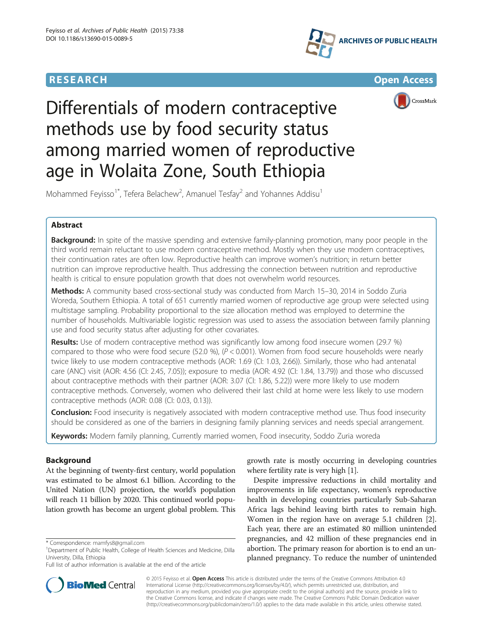





Differentials of modern contraceptive methods use by food security status among married women of reproductive age in Wolaita Zone, South Ethiopia

Mohammed Feyisso<sup>1\*</sup>, Tefera Belachew<sup>2</sup>, Amanuel Tesfay<sup>2</sup> and Yohannes Addisu<sup>1</sup>

# Abstract

Background: In spite of the massive spending and extensive family-planning promotion, many poor people in the third world remain reluctant to use modern contraceptive method. Mostly when they use modern contraceptives, their continuation rates are often low. Reproductive health can improve women's nutrition; in return better nutrition can improve reproductive health. Thus addressing the connection between nutrition and reproductive health is critical to ensure population growth that does not overwhelm world resources.

Methods: A community based cross-sectional study was conducted from March 15-30, 2014 in Soddo Zuria Woreda, Southern Ethiopia. A total of 651 currently married women of reproductive age group were selected using multistage sampling. Probability proportional to the size allocation method was employed to determine the number of households. Multivariable logistic regression was used to assess the association between family planning use and food security status after adjusting for other covariates.

Results: Use of modern contraceptive method was significantly low among food insecure women (29.7 %) compared to those who were food secure (52.0 %), (P < 0.001). Women from food secure households were nearly twice likely to use modern contraceptive methods (AOR: 1.69 (CI: 1.03, 2.66)). Similarly, those who had antenatal care (ANC) visit (AOR: 4.56 (CI: 2.45, 7.05)); exposure to media (AOR: 4.92 (CI: 1.84, 13.79)) and those who discussed about contraceptive methods with their partner (AOR: 3.07 (CI: 1.86, 5.22)) were more likely to use modern contraceptive methods. Conversely, women who delivered their last child at home were less likely to use modern contraceptive methods (AOR: 0.08 (CI: 0.03, 0.13)).

**Conclusion:** Food insecurity is negatively associated with modern contraceptive method use. Thus food insecurity should be considered as one of the barriers in designing family planning services and needs special arrangement.

Keywords: Modern family planning, Currently married women, Food insecurity, Soddo Zuria woreda

# Background

At the beginning of twenty-first century, world population was estimated to be almost 6.1 billion. According to the United Nation (UN) projection, the world's population will reach 11 billion by 2020. This continued world population growth has become an urgent global problem. This



Despite impressive reductions in child mortality and improvements in life expectancy, women's reproductive health in developing countries particularly Sub-Saharan Africa lags behind leaving birth rates to remain high. Women in the region have on average 5.1 children [\[2](#page-8-0)]. Each year, there are an estimated 80 million unintended pregnancies, and 42 million of these pregnancies end in abortion. The primary reason for abortion is to end an unplanned pregnancy. To reduce the number of unintended



© 2015 Feyisso et al. Open Access This article is distributed under the terms of the Creative Commons Attribution 4.0 International License [\(http://creativecommons.org/licenses/by/4.0/](http://creativecommons.org/licenses/by/4.0/)), which permits unrestricted use, distribution, and reproduction in any medium, provided you give appropriate credit to the original author(s) and the source, provide a link to the Creative Commons license, and indicate if changes were made. The Creative Commons Public Domain Dedication waiver [\(http://creativecommons.org/publicdomain/zero/1.0/](http://creativecommons.org/publicdomain/zero/1.0/)) applies to the data made available in this article, unless otherwise stated.

<sup>\*</sup> Correspondence: [mamfys8@gmail.com](mailto:mamfys8@gmail.com) <sup>1</sup>

<sup>&</sup>lt;sup>1</sup>Department of Public Health, College of Health Sciences and Medicine, Dilla University, Dilla, Ethiopia

Full list of author information is available at the end of the article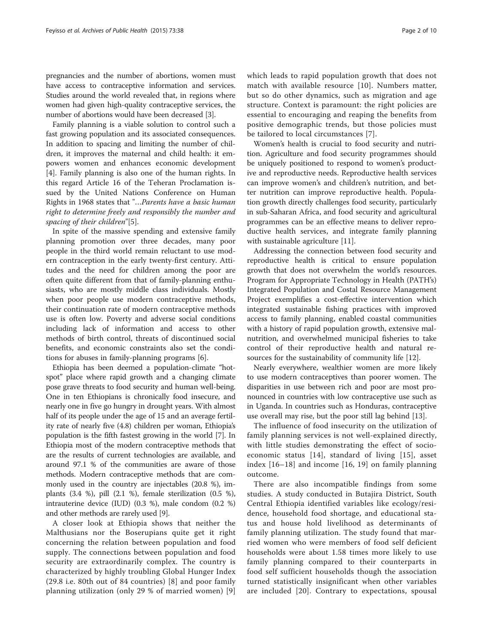pregnancies and the number of abortions, women must have access to contraceptive information and services. Studies around the world revealed that, in regions where women had given high-quality contraceptive services, the number of abortions would have been decreased [\[3](#page-8-0)].

Family planning is a viable solution to control such a fast growing population and its associated consequences. In addition to spacing and limiting the number of children, it improves the maternal and child health: it empowers women and enhances economic development [[4\]](#page-8-0). Family planning is also one of the human rights. In this regard Article 16 of the Teheran Proclamation issued by the United Nations Conference on Human Rights in 1968 states that "…Parents have a basic human right to determine freely and responsibly the number and spacing of their children"[[5\]](#page-8-0).

In spite of the massive spending and extensive family planning promotion over three decades, many poor people in the third world remain reluctant to use modern contraception in the early twenty-first century. Attitudes and the need for children among the poor are often quite different from that of family-planning enthusiasts, who are mostly middle class individuals. Mostly when poor people use modern contraceptive methods, their continuation rate of modern contraceptive methods use is often low. Poverty and adverse social conditions including lack of information and access to other methods of birth control, threats of discontinued social benefits, and economic constraints also set the conditions for abuses in family-planning programs [[6\]](#page-8-0).

Ethiopia has been deemed a population-climate "hotspot" place where rapid growth and a changing climate pose grave threats to food security and human well-being. One in ten Ethiopians is chronically food insecure, and nearly one in five go hungry in drought years. With almost half of its people under the age of 15 and an average fertility rate of nearly five (4.8) children per woman, Ethiopia's population is the fifth fastest growing in the world [[7](#page-8-0)]. In Ethiopia most of the modern contraceptive methods that are the results of current technologies are available, and around 97.1 % of the communities are aware of those methods. Modern contraceptive methods that are commonly used in the country are injectables (20.8 %), implants (3.4 %), pill (2.1 %), female sterilization (0.5 %), intrauterine device (IUD) (0.3 %), male condom (0.2 %) and other methods are rarely used [\[9](#page-8-0)].

A closer look at Ethiopia shows that neither the Malthusians nor the Boserupians quite get it right concerning the relation between population and food supply. The connections between population and food security are extraordinarily complex. The country is characterized by highly troubling Global Hunger Index (29.8 i.e. 80th out of 84 countries) [[8\]](#page-8-0) and poor family planning utilization (only 29 % of married women) [\[9](#page-8-0)]

which leads to rapid population growth that does not match with available resource [[10\]](#page-8-0). Numbers matter, but so do other dynamics, such as migration and age structure. Context is paramount: the right policies are essential to encouraging and reaping the benefits from

be tailored to local circumstances [\[7](#page-8-0)]. Women's health is crucial to food security and nutrition. Agriculture and food security programmes should be uniquely positioned to respond to women's productive and reproductive needs. Reproductive health services can improve women's and children's nutrition, and better nutrition can improve reproductive health. Population growth directly challenges food security, particularly in sub-Saharan Africa, and food security and agricultural programmes can be an effective means to deliver reproductive health services, and integrate family planning with sustainable agriculture [[11](#page-8-0)].

positive demographic trends, but those policies must

Addressing the connection between food security and reproductive health is critical to ensure population growth that does not overwhelm the world's resources. Program for Appropriate Technology in Health (PATH's) Integrated Population and Costal Resource Management Project exemplifies a cost-effective intervention which integrated sustainable fishing practices with improved access to family planning, enabled coastal communities with a history of rapid population growth, extensive malnutrition, and overwhelmed municipal fisheries to take control of their reproductive health and natural resources for the sustainability of community life [[12\]](#page-8-0).

Nearly everywhere, wealthier women are more likely to use modern contraceptives than poorer women. The disparities in use between rich and poor are most pronounced in countries with low contraceptive use such as in Uganda. In countries such as Honduras, contraceptive use overall may rise, but the poor still lag behind [\[13](#page-8-0)].

The influence of food insecurity on the utilization of family planning services is not well-explained directly, with little studies demonstrating the effect of socioeconomic status [[14\]](#page-8-0), standard of living [[15\]](#page-8-0), asset index [[16](#page-8-0)–[18](#page-9-0)] and income [[16](#page-8-0), [19](#page-9-0)] on family planning outcome.

There are also incompatible findings from some studies. A study conducted in Butajira District, South Central Ethiopia identified variables like ecology/residence, household food shortage, and educational status and house hold livelihood as determinants of family planning utilization. The study found that married women who were members of food self deficient households were about 1.58 times more likely to use family planning compared to their counterparts in food self sufficient households though the association turned statistically insignificant when other variables are included [[20](#page-9-0)]. Contrary to expectations, spousal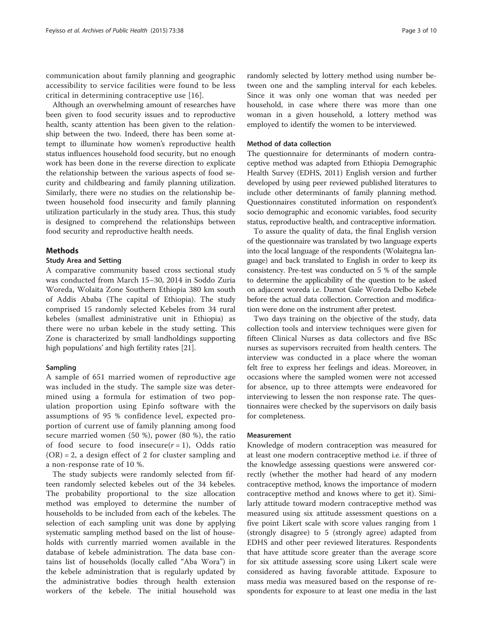communication about family planning and geographic accessibility to service facilities were found to be less critical in determining contraceptive use [[16\]](#page-8-0).

Although an overwhelming amount of researches have been given to food security issues and to reproductive health, scanty attention has been given to the relationship between the two. Indeed, there has been some attempt to illuminate how women's reproductive health status influences household food security, but no enough work has been done in the reverse direction to explicate the relationship between the various aspects of food security and childbearing and family planning utilization. Similarly, there were no studies on the relationship between household food insecurity and family planning utilization particularly in the study area. Thus, this study is designed to comprehend the relationships between food security and reproductive health needs.

### Methods

### Study Area and Setting

A comparative community based cross sectional study was conducted from March 15–30, 2014 in Soddo Zuria Woreda, Wolaita Zone Southern Ethiopia 380 km south of Addis Ababa (The capital of Ethiopia). The study comprised 15 randomly selected Kebeles from 34 rural kebeles (smallest administrative unit in Ethiopia) as there were no urban kebele in the study setting. This Zone is characterized by small landholdings supporting high populations' and high fertility rates [\[21](#page-9-0)].

#### Sampling

A sample of 651 married women of reproductive age was included in the study. The sample size was determined using a formula for estimation of two population proportion using Epinfo software with the assumptions of 95 % confidence level, expected proportion of current use of family planning among food secure married women (50 %), power (80 %), the ratio of food secure to food insecure $(r = 1)$ , Odds ratio  $(OR) = 2$ , a design effect of 2 for cluster sampling and a non-response rate of 10 %.

The study subjects were randomly selected from fifteen randomly selected kebeles out of the 34 kebeles. The probability proportional to the size allocation method was employed to determine the number of households to be included from each of the kebeles. The selection of each sampling unit was done by applying systematic sampling method based on the list of households with currently married women available in the database of kebele administration. The data base contains list of households (locally called "Aba Wora") in the kebele administration that is regularly updated by the administrative bodies through health extension workers of the kebele. The initial household was

randomly selected by lottery method using number between one and the sampling interval for each kebeles. Since it was only one woman that was needed per household, in case where there was more than one woman in a given household, a lottery method was employed to identify the women to be interviewed.

### Method of data collection

The questionnaire for determinants of modern contraceptive method was adapted from Ethiopia Demographic Health Survey (EDHS, 2011) English version and further developed by using peer reviewed published literatures to include other determinants of family planning method. Questionnaires constituted information on respondent's socio demographic and economic variables, food security status, reproductive health, and contraceptive information.

To assure the quality of data, the final English version of the questionnaire was translated by two language experts into the local language of the respondents (Wolaitegna language) and back translated to English in order to keep its consistency. Pre-test was conducted on 5 % of the sample to determine the applicability of the question to be asked on adjacent woreda i.e. Damot Gale Woreda Delbo Kebele before the actual data collection. Correction and modification were done on the instrument after pretest.

Two days training on the objective of the study, data collection tools and interview techniques were given for fifteen Clinical Nurses as data collectors and five BSc nurses as supervisors recruited from health centers. The interview was conducted in a place where the woman felt free to express her feelings and ideas. Moreover, in occasions where the sampled women were not accessed for absence, up to three attempts were endeavored for interviewing to lessen the non response rate. The questionnaires were checked by the supervisors on daily basis for completeness.

#### Measurement

Knowledge of modern contraception was measured for at least one modern contraceptive method i.e. if three of the knowledge assessing questions were answered correctly (whether the mother had heard of any modern contraceptive method, knows the importance of modern contraceptive method and knows where to get it). Similarly attitude toward modern contraceptive method was measured using six attitude assessment questions on a five point Likert scale with score values ranging from 1 (strongly disagree) to 5 (strongly agree) adapted from EDHS and other peer reviewed literatures. Respondents that have attitude score greater than the average score for six attitude assessing score using Likert scale were considered as having favorable attitude. Exposure to mass media was measured based on the response of respondents for exposure to at least one media in the last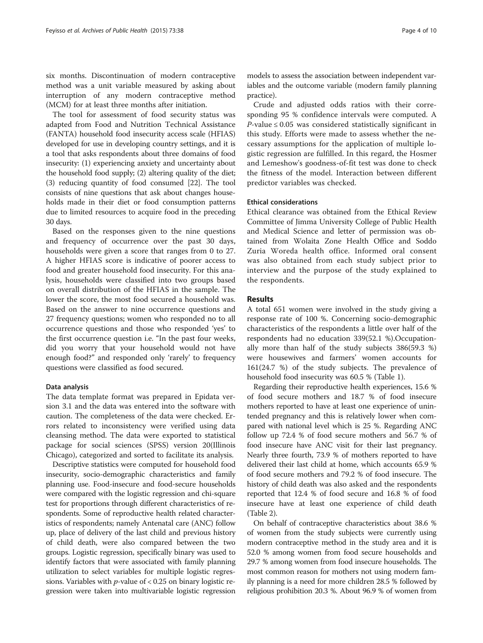six months. Discontinuation of modern contraceptive method was a unit variable measured by asking about interruption of any modern contraceptive method (MCM) for at least three months after initiation.

The tool for assessment of food security status was adapted from Food and Nutrition Technical Assistance (FANTA) household food insecurity access scale (HFIAS) developed for use in developing country settings, and it is a tool that asks respondents about three domains of food insecurity: (1) experiencing anxiety and uncertainty about the household food supply; (2) altering quality of the diet; (3) reducing quantity of food consumed [[22](#page-9-0)]. The tool consists of nine questions that ask about changes households made in their diet or food consumption patterns due to limited resources to acquire food in the preceding 30 days.

Based on the responses given to the nine questions and frequency of occurrence over the past 30 days, households were given a score that ranges from 0 to 27. A higher HFIAS score is indicative of poorer access to food and greater household food insecurity. For this analysis, households were classified into two groups based on overall distribution of the HFIAS in the sample. The lower the score, the most food secured a household was. Based on the answer to nine occurrence questions and 27 frequency questions; women who responded no to all occurrence questions and those who responded 'yes' to the first occurrence question i.e. "In the past four weeks, did you worry that your household would not have enough food?" and responded only 'rarely' to frequency questions were classified as food secured.

## Data analysis

The data template format was prepared in Epidata version 3.1 and the data was entered into the software with caution. The completeness of the data were checked. Errors related to inconsistency were verified using data cleansing method. The data were exported to statistical package for social sciences (SPSS) version 20(Illinois Chicago), categorized and sorted to facilitate its analysis.

Descriptive statistics were computed for household food insecurity, socio-demographic characteristics and family planning use. Food-insecure and food-secure households were compared with the logistic regression and chi-square test for proportions through different characteristics of respondents. Some of reproductive health related characteristics of respondents; namely Antenatal care (ANC) follow up, place of delivery of the last child and previous history of child death, were also compared between the two groups. Logistic regression, specifically binary was used to identify factors that were associated with family planning utilization to select variables for multiple logistic regressions. Variables with  $p$ -value of  $< 0.25$  on binary logistic regression were taken into multivariable logistic regression models to assess the association between independent variables and the outcome variable (modern family planning practice).

Crude and adjusted odds ratios with their corresponding 95 % confidence intervals were computed. A  $P$ -value  $\leq 0.05$  was considered statistically significant in this study. Efforts were made to assess whether the necessary assumptions for the application of multiple logistic regression are fulfilled. In this regard, the Hosmer and Lemeshow's goodness-of-fit test was done to check the fitness of the model. Interaction between different predictor variables was checked.

# Ethical considerations

Ethical clearance was obtained from the Ethical Review Committee of Jimma University College of Public Health and Medical Science and letter of permission was obtained from Wolaita Zone Health Office and Soddo Zuria Woreda health office. Informed oral consent was also obtained from each study subject prior to interview and the purpose of the study explained to the respondents.

#### Results

A total 651 women were involved in the study giving a response rate of 100 %. Concerning socio-demographic characteristics of the respondents a little over half of the respondents had no education 339(52.1 %).Occupationally more than half of the study subjects 386(59.3 %) were housewives and farmers' women accounts for 161(24.7 %) of the study subjects. The prevalence of household food insecurity was 60.5 % (Table [1\)](#page-4-0).

Regarding their reproductive health experiences, 15.6 % of food secure mothers and 18.7 % of food insecure mothers reported to have at least one experience of unintended pregnancy and this is relatively lower when compared with national level which is 25 %. Regarding ANC follow up 72.4 % of food secure mothers and 56.7 % of food insecure have ANC visit for their last pregnancy. Nearly three fourth, 73.9 % of mothers reported to have delivered their last child at home, which accounts 65.9 % of food secure mothers and 79.2 % of food insecure. The history of child death was also asked and the respondents reported that 12.4 % of food secure and 16.8 % of food insecure have at least one experience of child death (Table [2](#page-4-0)).

On behalf of contraceptive characteristics about 38.6 % of women from the study subjects were currently using modern contraceptive method in the study area and it is 52.0 % among women from food secure households and 29.7 % among women from food insecure households. The most common reason for mothers not using modern family planning is a need for more children 28.5 % followed by religious prohibition 20.3 %. About 96.9 % of women from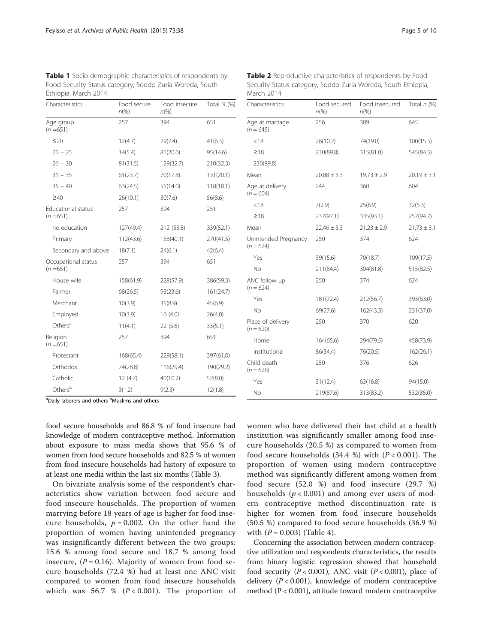<span id="page-4-0"></span>

| <b>Table 1</b> Socio-demographic characteristics of respondents by |
|--------------------------------------------------------------------|
| Food Security Status category; Soddo Zuria Woreda, South           |
| Ethiopia, March 2014                                               |

| Characteristics                    | Food secure<br>$n\frac{9}{6}$ | Food insecure<br>$n\left(\%\right)$ | Total N (%) |
|------------------------------------|-------------------------------|-------------------------------------|-------------|
| Age group<br>$(n = 651)$           | 257                           | 394                                 | 651         |
| $\leq 20$                          | 12(4.7)                       | 29(7.4)                             | 41(6.3)     |
| $21 - 25$                          | 14(5.4)                       | 81(20.6)                            | 95(14.6)    |
| $26 - 30$                          | 81(31.5)                      | 129(32.7)                           | 210(32.3)   |
| $31 - 35$                          | 61(23.7)                      | 70(17.8)                            | 131(20.1)   |
| $35 - 40$                          | 63(24.5)                      | 55(14.0)                            | 118(18.1)   |
| $\geq 40$                          | 26(10.1)                      | 30(7.6)                             | 56(8.6)     |
| Educational status<br>$(n = 651)$  | 257                           | 394                                 | 251         |
| no education                       | 127(49.4)                     | 212 (53.8)                          | 339(52.1)   |
| Primary                            | 112(43.6)                     | 158(40.1)                           | 270(41.5)   |
| Secondary and above                | 18(7.1)                       | 24(6.1)                             | 42(6.4)     |
| Occupational status<br>$(n = 651)$ | 257                           | 394                                 | 651         |
| House wife                         | 158(61.9)                     | 228(57.9)                           | 386(59.3)   |
| Farmer                             | 68(26.5)                      | 93(23.6)                            | 161(24.7)   |
| Merchant                           | 10(3.9)                       | 35(8.9)                             | 45(6.9)     |
| Employed                           | 10(3.9)                       | 16(4.0)                             | 26(4.0)     |
| Others <sup>a</sup>                | 11(4.1)                       | 22(5.6)                             | 33(5.1)     |
| Religion<br>$(n = 651)$            | 257                           | 394                                 | 651         |
| Protestant                         | 168(65.4)                     | 229(58.1)                           | 397(61.0)   |
| Orthodox                           | 74(28.8)                      | 116(29.4)                           | 190(29.2)   |
| Catholic                           | 12(4.7)                       | 40(10.2)                            | 52(8.0)     |
| Others <sup>b</sup>                | 3(1.2)                        | 9(2.3)                              | 12(1.8)     |

Table 2 Reproductive characteristics of respondents by Food Security Status category; Soddo Zuria Woreda, South Ethiopia, March 2014

| Characteristics                     | Food secured<br>$n\llap{$\otimes$}$ | Food insecured<br>$n\llap{$\otimes$}$ | Total $n$ (%)   |
|-------------------------------------|-------------------------------------|---------------------------------------|-----------------|
| Age at marriage<br>$(n = 645)$      | 256                                 | 389                                   | 645             |
| < 18                                | 26(10.2)                            | 74(19.0)                              | 100(15.5)       |
| $\geq$ 18                           | 230(89.8)                           | 315(81.0)                             | 545(84.5)       |
| 230(89.8)                           |                                     |                                       |                 |
| Mean                                | $20.88 \pm 3.3$                     | $19.73 \pm 2.9$                       | $20.19 \pm 3.1$ |
| Age at delivery<br>$(n = 604)$      | 244                                 | 360                                   | 604             |
| < 18                                | 7(2.9)                              | 25(6.9)                               | 32(5.3)         |
| $\geq 18$                           | 237(97.1)                           | 335(93.1)                             | 257(94.7)       |
| Mean                                | $22.46 \pm 3.3$                     | $21.23 \pm 2.9$                       | $21.73 \pm 3.1$ |
| Unintended Pregnancy<br>$(n = 624)$ | 250                                 | 374                                   | 624             |
| Yes                                 | 39(15.6)                            | 70(18.7)                              | 109(17.5)       |
| No                                  | 211(84.4)                           | 304(81.8)                             | 515(82.5)       |
| ANC follow up<br>$(n = 624)$        | 250                                 | 374                                   | 624             |
| Yes                                 | 181(72.4)                           | 212(56.7)                             | 393(63.0)       |
| <b>No</b>                           | 69(27.6)                            | 162(43.3)                             | 231(37.0)       |
| Place of delivery<br>$(n = 620)$    | 250                                 | 370                                   | 620             |
| Home                                | 164(65.6)                           | 294(79.5)                             | 458(73.9)       |
| Institutional                       | 86(34.4)                            | 76(20.5)                              | 162(26.1)       |
| Child death<br>$(n = 626)$          | 250                                 | 376                                   | 626             |
| Yes                                 | 31(12.4)                            | 63(16.8)                              | 94(15.0)        |
| No                                  | 219(87.6)                           | 313(83.2)                             | 532(85.0)       |

<sup>a</sup>Daily laborers and others <sup>b</sup>Muslims and others

food secure households and 86.8 % of food insecure had knowledge of modern contraceptive method. Information about exposure to mass media shows that 95.6 % of women from food secure households and 82.5 % of women from food insecure households had history of exposure to at least one media within the last six months (Table [3](#page-5-0)).

On bivariate analysis some of the respondent's characteristics show variation between food secure and food insecure households. The proportion of women marrying before 18 years of age is higher for food insecure households,  $p = 0.002$ . On the other hand the proportion of women having unintended pregnancy was insignificantly different between the two groups: 15.6 % among food secure and 18.7 % among food insecure,  $(P = 0.16)$ . Majority of women from food secure households (72.4 %) had at least one ANC visit compared to women from food insecure households which was 56.7 %  $(P < 0.001)$ . The proportion of

women who have delivered their last child at a health institution was significantly smaller among food insecure households (20.5 %) as compared to women from food secure households  $(34.4 %)$  with  $(P < 0.001)$ . The proportion of women using modern contraceptive method was significantly different among women from food secure (52.0 %) and food insecure (29.7 %) households ( $p < 0.001$ ) and among ever users of modern contraceptive method discontinuation rate is higher for women from food insecure households (50.5 %) compared to food secure households (36.9 %) with  $(P = 0.003)$  (Table [4\)](#page-5-0).

Concerning the association between modern contraceptive utilization and respondents characteristics, the results from binary logistic regression showed that household food security  $(P < 0.001)$ , ANC visit  $(P < 0.001)$ , place of delivery ( $P < 0.001$ ), knowledge of modern contraceptive method (P < 0.001), attitude toward modern contraceptive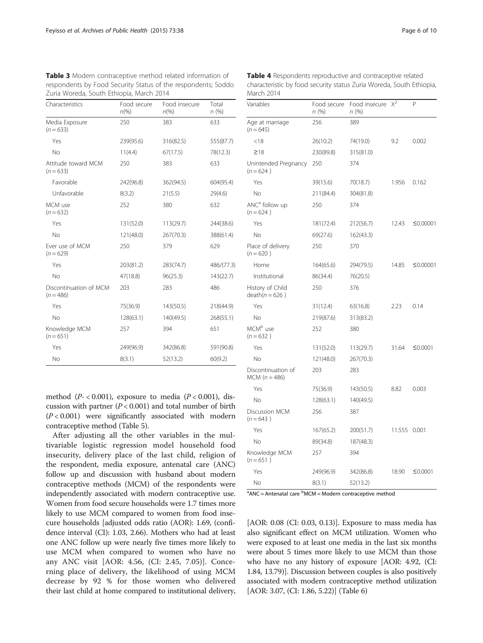| Zuria Woreda, South Ethiopia, March 2014 |                               |                                     |               |
|------------------------------------------|-------------------------------|-------------------------------------|---------------|
| Characteristics                          | Food secure<br>$n\frac{9}{6}$ | Food insecure<br>$n\left(\%\right)$ | Total<br>n(%) |
| Media Exposure<br>$(n = 633)$            | 250                           | 383                                 | 633           |
| Yes                                      | 239(95.6)                     | 316(82.5)                           | 555(87.7)     |
| <b>No</b>                                | 11(4.4)                       | 67(17.5)                            | 78(12.3)      |
| Attitude toward MCM<br>$(n = 633)$       | 250                           | 383                                 | 633           |
| Favorable                                | 242(96.8)                     | 362(94.5)                           | 604(95.4)     |
| Unfavorable                              | 8(3.2)                        | 21(5.5)                             | 29(4.6)       |
| MCM use<br>$(n = 632)$                   | 252                           | 380                                 | 632           |
| Yes                                      | 131(52.0)                     | 113(29.7)                           | 244(38.6)     |
| <b>No</b>                                | 121(48.0)                     | 267(70.3)                           | 388(61.4)     |
| Ever use of MCM<br>$(n = 629)$           | 250                           | 379                                 | 629           |
| Yes                                      | 203(81.2)                     | 283(74.7)                           | 486/(77.3)    |
| N <sub>o</sub>                           | 47(18.8)                      | 96(25.3)                            | 143(22.7)     |
| Discontinuation of MCM<br>$(n = 486)$    | 203                           | 283                                 | 486           |
| Yes                                      | 75(36.9)                      | 143(50.5)                           | 218(44.9)     |
| <b>No</b>                                | 128(63.1)                     | 140(49.5)                           | 268(55.1)     |
| Knowledge MCM<br>$(n = 651)$             | 257                           | 394                                 | 651           |
| Yes                                      | 249(96.9)                     | 342(86.8)                           | 591(90.8)     |
| <b>No</b>                                | 8(3.1)                        | 52(13.2)                            | 60(9.2)       |

<span id="page-5-0"></span>Table 3 Modern contraceptive method related information of respondents by Food Security Status of the respondents; Soddo

method ( $P< 0.001$ ), exposure to media ( $P< 0.001$ ), discussion with partner  $(P < 0.001)$  and total number of birth  $(P < 0.001)$  were significantly associated with modern contraceptive method (Table [5\)](#page-6-0).

After adjusting all the other variables in the multivariable logistic regression model household food insecurity, delivery place of the last child, religion of the respondent, media exposure, antenatal care (ANC) follow up and discussion with husband about modern contraceptive methods (MCM) of the respondents were independently associated with modern contraceptive use. Women from food secure households were 1.7 times more likely to use MCM compared to women from food insecure households [adjusted odds ratio (AOR): 1.69, (confidence interval (CI): 1.03, 2.66). Mothers who had at least one ANC follow up were nearly five times more likely to use MCM when compared to women who have no any ANC visit [AOR: 4.56, (CI: 2.45, 7.05)]. Concerning place of delivery, the likelihood of using MCM decrease by 92 % for those women who delivered their last child at home compared to institutional delivery,

| Variables                                 | Food secure<br>n (%) | Food insecure<br>n(%) | $X^2$        | P        |
|-------------------------------------------|----------------------|-----------------------|--------------|----------|
| Age at marriage<br>$(n = 645)$            | 256                  | 389                   |              |          |
| < 18                                      | 26(10.2)             | 74(19.0)              | 9.2          | 0.002    |
| $\geq$ 18                                 | 230(89.8)            | 315(81.0)             |              |          |
| Unintended Pregnancy<br>$(n = 624)$       | 250                  | 374                   |              |          |
| Yes                                       | 39(15.6)             | 70(18.7)              | 1.956        | 0.162    |
| No                                        | 211(84.4)            | 304(81.8)             |              |          |
| ANC <sup>a</sup> follow up<br>$(n = 624)$ | 250                  | 374                   |              |          |
| Yes                                       | 181(72.4)            | 212(56.7)             | 12.43        | ≤0.00001 |
| No                                        | 69(27.6)             | 162(43.3)             |              |          |
| Place of delivery<br>$(n = 620)$          | 250                  | 370                   |              |          |
| Home                                      | 164(65.6)            | 294(79.5)             | 14.85        | ≤0.00001 |
| Institutional                             | 86(34.4)             | 76(20.5)              |              |          |
| History of Child<br>$death(n = 626)$      | 250                  | 376                   |              |          |
| Yes                                       | 31(12.4)             | 63(16.8)              | 2.23         | 0.14     |
| No                                        | 219(87.6)            | 313(83.2)             |              |          |
| MCM <sup>b</sup> use<br>$(n = 632)$       | 252                  | 380                   |              |          |
| Yes                                       | 131(52.0)            | 113(29.7)             | 31.64        | ≤0.0001  |
| Nο                                        | 121(48.0)            | 267(70.3)             |              |          |
| Discontinuation of<br>MCM ( $n = 486$ )   | 203                  | 283                   |              |          |
| Yes                                       | 75(36.9)             | 143(50.5)             | 8.82         | 0.003    |
| No                                        | 128(63.1)            | 140(49.5)             |              |          |
| Discussion MCM<br>$(n = 643)$             | 256                  | 387                   |              |          |
| Yes                                       | 167(65.2)            | 200(51.7)             | 11.555 0.001 |          |
| No                                        | 89(34.8)             | 187(48.3)             |              |          |
| Knowledge MCM<br>$(n = 651)$              | 257                  | 394                   |              |          |
| Yes                                       | 249(96.9)            | 342(86.8)             | 18.90        | ≤0.0001  |
| No                                        | 8(3.1)               | 52(13.2)              |              |          |

<sup>a</sup> ANC = Antenatal care <sup>b</sup>MCM = Modern contraceptive method

[AOR: 0.08 (CI: 0.03, 0.13)]. Exposure to mass media has also significant effect on MCM utilization. Women who were exposed to at least one media in the last six months were about 5 times more likely to use MCM than those who have no any history of exposure [AOR: 4.92, (CI: 1.84, 13.79)]. Discussion between couples is also positively associated with modern contraceptive method utilization [AOR: 3.07, (CI: 1.86, 5.22)] (Table [6](#page-6-0))

Table 4 Respondents reproductive and contraceptive related characteristic by food security status Zuria Woreda, South Ethiopia, March 2014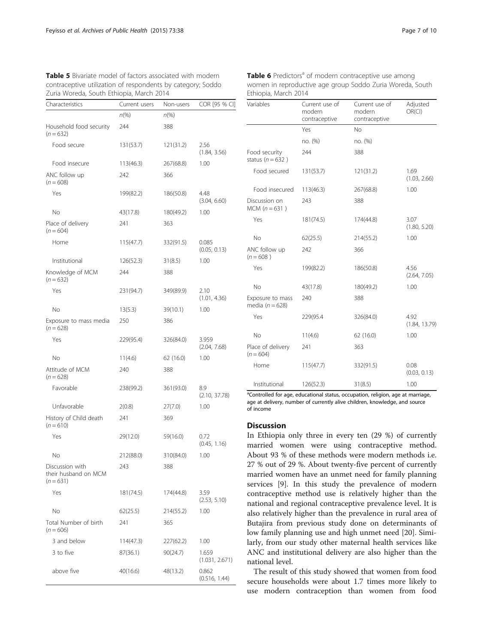| Characteristics                                        | Current users | Non-users | COR [95 % CI]           |
|--------------------------------------------------------|---------------|-----------|-------------------------|
|                                                        | $n\,%$        | $n\%$     |                         |
| Household food security<br>$(n = 632)$                 | 244           | 388       |                         |
| Food secure                                            | 131(53.7)     | 121(31.2) | 2.56<br>(1.84, 3.56)    |
| Food insecure                                          | 113(46.3)     | 267(68.8) | 1.00                    |
| ANC follow up<br>$(n = 608)$                           | 242           | 366       |                         |
| Yes                                                    | 199(82.2)     | 186(50.8) | 4.48<br>(3.04, 6.60)    |
| No                                                     | 43(17.8)      | 180(49.2) | 1.00                    |
| Place of delivery<br>$(n = 604)$                       | 241           | 363       |                         |
| Home                                                   | 115(47.7)     | 332(91.5) | 0.085<br>(0.05, 0.13)   |
| Institutional                                          | 126(52.3)     | 31(8.5)   | 1.00                    |
| Knowledge of MCM<br>$(n = 632)$                        | 244           | 388       |                         |
| Yes                                                    | 231(94.7)     | 349(89.9) | 2.10<br>(1.01, 4.36)    |
| No                                                     | 13(5.3)       | 39(10.1)  | 1.00                    |
| Exposure to mass media<br>$(n = 628)$                  | 250           | 386       |                         |
| Yes                                                    | 229(95.4)     | 326(84.0) | 3.959<br>(2.04, 7.68)   |
| No                                                     | 11(4.6)       | 62 (16.0) | 1.00                    |
| Attitude of MCM<br>$(n = 628)$                         | 240           | 388       |                         |
| Favorable                                              | 238(99.2)     | 361(93.0) | 8.9<br>(2.10, 37.78)    |
| Unfavorable                                            | 2(0.8)        | 27(7.0)   | 1.00                    |
| History of Child death<br>$(n = 610)$                  | 241           | 369       |                         |
| Yes                                                    | 29(12.0)      | 59(16.0)  | 0.72<br>(0.45, 1.16)    |
| No                                                     | 212(88.0)     | 310(84.0) | 1.00                    |
| Discussion with<br>their husband on MCM<br>$(n = 631)$ | 243           | 388       |                         |
| Yes                                                    | 181(74.5)     | 174(44.8) | 3.59<br>(2.53, 5.10)    |
| No                                                     | 62(25.5)      | 214(55.2) | 1.00                    |
| Total Number of birth<br>$(n = 606)$                   | 241           | 365       |                         |
| 3 and below                                            | 114(47.3)     | 227(62.2) | 1.00                    |
| 3 to five                                              | 87(36.1)      | 90(24.7)  | 1.659<br>(1.031, 2.671) |
| above five                                             | 40(16.6)      | 48(13.2)  | 0.862<br>(0.516, 1.44)  |

<span id="page-6-0"></span>Table 5 Bivariate model of factors associated with modern contraceptive utilization of respondents by category; Soddo Zuria Woreda, South Ethiopia, March 2014 Table 6 Predictors<sup>a</sup> of modern contraceptive use among women in reproductive age group Soddo Zuria Woreda, South Ethiopia, March 2014

| Variables                               | Current use of<br>modern<br>contraceptive | Current use of<br>modern<br>contraceptive | Adjusted<br>OR(Cl)    |
|-----------------------------------------|-------------------------------------------|-------------------------------------------|-----------------------|
|                                         | Yes                                       | No                                        |                       |
|                                         | no. (%)                                   | no. (%)                                   |                       |
| Food security<br>status ( $n = 632$ )   | 244                                       | 388                                       |                       |
| Food secured                            | 131(53.7)                                 | 121(31.2)                                 | 1.69<br>(1.03, 2.66)  |
| Food insecured                          | 113(46.3)                                 | 267(68.8)                                 | 1.00                  |
| Discussion on<br>$MCM (n = 631)$        | 243                                       | 388                                       |                       |
| Yes                                     | 181(74.5)                                 | 174(44.8)                                 | 3.07<br>(1.80, 5.20)  |
| No                                      | 62(25.5)                                  | 214(55.2)                                 | 1.00                  |
| ANC follow up<br>$(n = 608)$            | 242                                       | 366                                       |                       |
| Yes                                     | 199(82.2)                                 | 186(50.8)                                 | 4.56<br>(2.64, 7.05)  |
| <b>No</b>                               | 43(17.8)                                  | 180(49.2)                                 | 1.00                  |
| Exposure to mass<br>media ( $n = 628$ ) | 240                                       | 388                                       |                       |
| Yes                                     | 229(95.4                                  | 326(84.0)                                 | 4.92<br>(1.84, 13.79) |
| <b>No</b>                               | 11(4.6)                                   | 62 (16.0)                                 | 1.00                  |
| Place of delivery<br>$(n = 604)$        | 241                                       | 363                                       |                       |
| Home                                    | 115(47.7)                                 | 332(91.5)                                 | 0.08<br>(0.03, 0.13)  |
| Institutional                           | 126(52.3)                                 | 31(8.5)                                   | 1.00                  |

<sup>a</sup>Controlled for age, educational status, occupation, religion, age at marriage, age at delivery, number of currently alive children, knowledge, and source of income

#### **Discussion**

In Ethiopia only three in every ten (29 %) of currently married women were using contraceptive method. About 93 % of these methods were modern methods i.e. 27 % out of 29 %. About twenty-five percent of currently married women have an unmet need for family planning services [[9](#page-8-0)]. In this study the prevalence of modern contraceptive method use is relatively higher than the national and regional contraceptive prevalence level. It is also relatively higher than the prevalence in rural area of Butajira from previous study done on determinants of low family planning use and high unmet need [[20](#page-9-0)]. Similarly, from our study other maternal health services like ANC and institutional delivery are also higher than the national level.

The result of this study showed that women from food secure households were about 1.7 times more likely to use modern contraception than women from food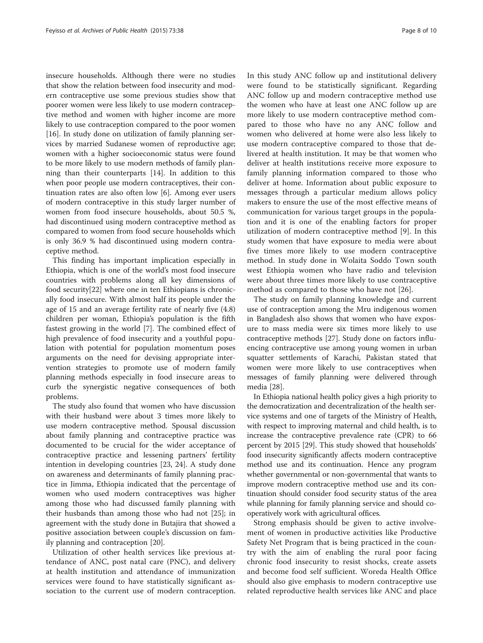insecure households. Although there were no studies that show the relation between food insecurity and modern contraceptive use some previous studies show that poorer women were less likely to use modern contraceptive method and women with higher income are more likely to use contraception compared to the poor women [[16\]](#page-8-0). In study done on utilization of family planning services by married Sudanese women of reproductive age; women with a higher socioeconomic status were found to be more likely to use modern methods of family planning than their counterparts [[14](#page-8-0)]. In addition to this when poor people use modern contraceptives, their continuation rates are also often low [\[6](#page-8-0)]. Among ever users of modern contraceptive in this study larger number of women from food insecure households, about 50.5 %, had discontinued using modern contraceptive method as compared to women from food secure households which is only 36.9 % had discontinued using modern contraceptive method.

This finding has important implication especially in Ethiopia, which is one of the world's most food insecure countries with problems along all key dimensions of food security[[22\]](#page-9-0) where one in ten Ethiopians is chronically food insecure. With almost half its people under the age of 15 and an average fertility rate of nearly five (4.8) children per woman, Ethiopia's population is the fifth fastest growing in the world [[7\]](#page-8-0). The combined effect of high prevalence of food insecurity and a youthful population with potential for population momentum poses arguments on the need for devising appropriate intervention strategies to promote use of modern family planning methods especially in food insecure areas to curb the synergistic negative consequences of both problems.

The study also found that women who have discussion with their husband were about 3 times more likely to use modern contraceptive method. Spousal discussion about family planning and contraceptive practice was documented to be crucial for the wider acceptance of contraceptive practice and lessening partners' fertility intention in developing countries [[23, 24\]](#page-9-0). A study done on awareness and determinants of family planning practice in Jimma, Ethiopia indicated that the percentage of women who used modern contraceptives was higher among those who had discussed family planning with their husbands than among those who had not [\[25](#page-9-0)]; in agreement with the study done in Butajira that showed a positive association between couple's discussion on family planning and contraception [\[20](#page-9-0)].

Utilization of other health services like previous attendance of ANC, post natal care (PNC), and delivery at health institution and attendance of immunization services were found to have statistically significant association to the current use of modern contraception. In this study ANC follow up and institutional delivery were found to be statistically significant. Regarding ANC follow up and modern contraceptive method use the women who have at least one ANC follow up are more likely to use modern contraceptive method compared to those who have no any ANC follow and women who delivered at home were also less likely to use modern contraceptive compared to those that delivered at health institution. It may be that women who deliver at health institutions receive more exposure to family planning information compared to those who deliver at home. Information about public exposure to messages through a particular medium allows policy makers to ensure the use of the most effective means of communication for various target groups in the population and it is one of the enabling factors for proper utilization of modern contraceptive method [[9\]](#page-8-0). In this study women that have exposure to media were about five times more likely to use modern contraceptive method. In study done in Wolaita Soddo Town south west Ethiopia women who have radio and television were about three times more likely to use contraceptive method as compared to those who have not [\[26](#page-9-0)].

The study on family planning knowledge and current use of contraception among the Mru indigenous women in Bangladesh also shows that women who have exposure to mass media were six times more likely to use contraceptive methods [\[27](#page-9-0)]. Study done on factors influencing contraceptive use among young women in urban squatter settlements of Karachi, Pakistan stated that women were more likely to use contraceptives when messages of family planning were delivered through media [[28](#page-9-0)].

In Ethiopia national health policy gives a high priority to the democratization and decentralization of the health service systems and one of targets of the Ministry of Health, with respect to improving maternal and child health, is to increase the contraceptive prevalence rate (CPR) to 66 percent by 2015 [[29\]](#page-9-0). This study showed that households' food insecurity significantly affects modern contraceptive method use and its continuation. Hence any program whether governmental or non-governmental that wants to improve modern contraceptive method use and its continuation should consider food security status of the area while planning for family planning service and should cooperatively work with agricultural offices.

Strong emphasis should be given to active involvement of women in productive activities like Productive Safety Net Program that is being practiced in the country with the aim of enabling the rural poor facing chronic food insecurity to resist shocks, create assets and become food self sufficient. Woreda Health Office should also give emphasis to modern contraceptive use related reproductive health services like ANC and place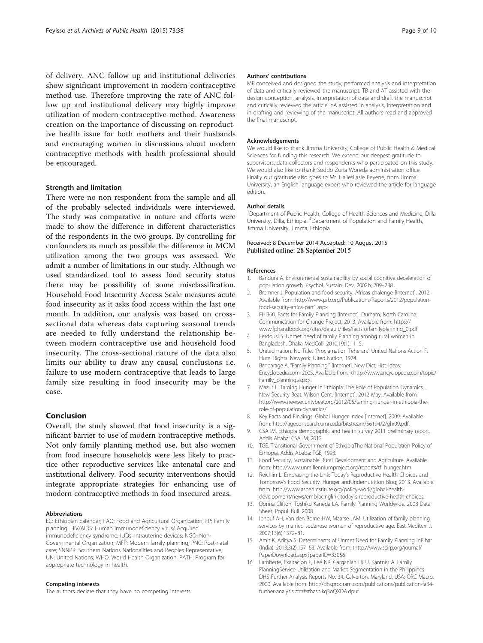<span id="page-8-0"></span>of delivery. ANC follow up and institutional deliveries show significant improvement in modern contraceptive method use. Therefore improving the rate of ANC follow up and institutional delivery may highly improve utilization of modern contraceptive method. Awareness creation on the importance of discussing on reproductive health issue for both mothers and their husbands and encouraging women in discussions about modern contraceptive methods with health professional should be encouraged.

#### Strength and limitation

There were no non respondent from the sample and all of the probably selected individuals were interviewed. The study was comparative in nature and efforts were made to show the difference in different characteristics of the respondents in the two groups. By controlling for confounders as much as possible the difference in MCM utilization among the two groups was assessed. We admit a number of limitations in our study. Although we used standardized tool to assess food security status there may be possibility of some misclassification. Household Food Insecurity Access Scale measures acute food insecurity as it asks food access within the last one month. In addition, our analysis was based on crosssectional data whereas data capturing seasonal trends are needed to fully understand the relationship between modern contraceptive use and household food insecurity. The cross-sectional nature of the data also limits our ability to draw any causal conclusions i.e. failure to use modern contraceptive that leads to large family size resulting in food insecurity may be the case.

# Conclusion

Overall, the study showed that food insecurity is a significant barrier to use of modern contraceptive methods. Not only family planning method use, but also women from food insecure households were less likely to practice other reproductive services like antenatal care and institutional delivery. Food security interventions should integrate appropriate strategies for enhancing use of modern contraceptive methods in food insecured areas.

#### Abbreviations

EC: Ethiopian calendar; FAO: Food and Agricultural Organization; FP: Family planning; HIV/AIDS: Human immunodeficiency virus/ Acquired immunodeficiency syndrome; IUDs: Intrauterine devices; NGO: Non-Governmental Organization; MFP: Modern family planning; PNC: Post-natal care; SNNPR: Southern Nations Nationalities and Peoples Representative; UN: United Nations; WHO: World Health Organization; PATH: Program for appropriate technology in health.

#### Competing interests

The authors declare that they have no competing interests.

#### Authors' contributions

MF conceived and designed the study, performed analysis and interpretation of data and critically reviewed the manuscript. TB and AT assisted with the design conception, analysis, interpretation of data and draft the manuscript and critically reviewed the article. YA assisted in analysis, interpretation and in drafting and reviewing of the manuscript. All authors read and approved the final manuscript.

#### Acknowledgements

We would like to thank Jimma University, College of Public Health & Medical Sciences for funding this research. We extend our deepest gratitude to supervisors, data collectors and respondents who participated on this study. We would also like to thank Soddo Zuria Woreda administration office. Finally our gratitude also goes to Mr. Hailesilasie Beyene, from Jimma University, an English language expert who reviewed the article for language edition.

#### Author details

<sup>1</sup>Department of Public Health, College of Health Sciences and Medicine, Dilla University, Dilla, Ethiopia. <sup>2</sup> Department of Population and Family Health, Jimma University, Jimma, Ethiopia.

# Received: 8 December 2014 Accepted: 10 August 2015

#### References

- 1. Bandura A. Environmental sustainability by social cognitive deceleration of population growth. Psychol. Sustain. Dev. 2002b; 209–238.
- 2. Bremner J. Population and food security: Africas chalenge [Internet]. 2012. Available from: [http://www.prb.org/Publications/Reports/2012/population](http://www.prb.org/Publications/Reports/2012/population-food-security-africa-part1.aspx)[food-security-africa-part1.aspx](http://www.prb.org/Publications/Reports/2012/population-food-security-africa-part1.aspx)
- 3. FHI360. Facts for Family Planning [Internet]. Durham, North Carolina: Communication for Change Project; 2013. Available from: [https://](https://www.fphandbook.org/sites/default/files/factsforfamilyplanning_0.pdf) [www.fphandbook.org/sites/default/files/factsforfamilyplanning\\_0.pdf](https://www.fphandbook.org/sites/default/files/factsforfamilyplanning_0.pdf)
- 4. Ferdousi S. Unmet need of family Planning among rural women in Bangladesh. Dhaka MedColl. 2010;19(1):11–5.
- 5. United nation. No Title. "Proclamation Teheran." United Nations Action F. Hum. Rights. Newyork: Uited Nation; 1974.
- 6. Bandarage A. "Family Planning." [Internet]. New Dict. Hist. Ideas. Encyclopedia.com; 2005. Available from: <[http://www.encyclopedia.com/topic/](http://www.encyclopedia.com/topic/Family_planning.aspx) [Family\\_planning.aspx>](http://www.encyclopedia.com/topic/Family_planning.aspx).
- 7. Mazur L. Taming Hunger in Ethiopia: The Role of Population Dynamics \_ New Security Beat. Wilson Cent. [Internet]. 2012 May; Available from: [http://www.newsecuritybeat.org/2012/05/taming-hunger-in-ethiopia-the](http://www.newsecuritybeat.org/2012/05/taming-hunger-in-ethiopia-the-role-of-population-dynamics/)[role-of-population-dynamics/](http://www.newsecuritybeat.org/2012/05/taming-hunger-in-ethiopia-the-role-of-population-dynamics/)
- 8. Key Facts and Findings. Global Hunger Index [Internet]. 2009. Available from:<http://ageconsearch.umn.edu/bitstream/56194/2/ghi09.pdf>.
- 9. CSA IM. Ethiopia demographic and health survey 2011 preliminary report. Addis Ababa: CSA IM; 2012.
- 10. TGE. Transitional Government of EthiopiaThe National Population Policy of Ethiopia. Addis Ababa: TGE; 1993.
- 11. Food Security, Sustainable Rural Development and Agriculture. Available from: [http://www.unmillenniumproject.org/reports/tf\\_hunger.htm](http://www.unmillenniumproject.org/reports/tf_hunger.htm)
- 12. Reichlin L. Embracing the Link: Today's Reproductive Health Choices and Tomorrow's Food Security. Hunger andUndernutrition Blog; 2013. Available from: [http://www.aspeninstitute.org/policy-work/global-health](http://www.aspeninstitute.org/policy-work/global-health-development/news/embracinglink-today-s-reproductive-health-choices)[development/news/embracinglink-today-s-reproductive-health-choices](http://www.aspeninstitute.org/policy-work/global-health-development/news/embracinglink-today-s-reproductive-health-choices).
- 13. Donna Clifton, Toshiko Kaneda LA. Family Planning Worldwide. 2008 Data Sheet. Popul. Bull. 2008
- 14. Ibnouf AH, Van den Borne HW, Maarse JAM. Utilization of family planning services by married sudanese women of reproductive age. East Mediterr J. 2007;13(6):1372–81.
- 15. Amit K, Aditya S. Determinants of Unmet Need for Family Planning inBihar (India). 2013;3(2):157–63. Available from: [\(http://www.scirp.org/journal/](http://www.scirp.org/journal/PaperDownload.aspx?paperID=33056) [PaperDownload.aspx?paperID=33056](http://www.scirp.org/journal/PaperDownload.aspx?paperID=33056)
- 16. Lamberte, Exaltacion E, Lee NR, Garganian DCU, Kantner A. Family PlanningService Utilization and Market Segmentation in the Philippines. DHS Further Analysis Reports No. 34. Calverton, Maryland, USA: ORC Macro. 2000. Available from: [http://dhsprogram.com/publications/publication-fa34](http://dhsprogram.com/publications/publication-fa34-further-analysis.cfm#sthash.kq3oQXDA.dpuf) [further-analysis.cfm#sthash.kq3oQXDA.dpuf](http://dhsprogram.com/publications/publication-fa34-further-analysis.cfm#sthash.kq3oQXDA.dpuf)